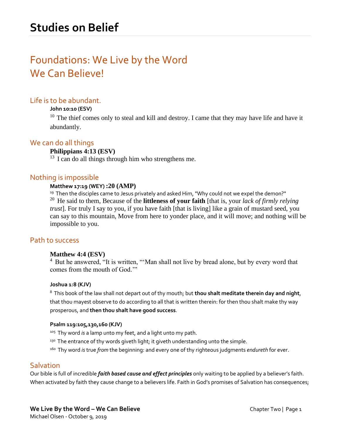# Foundations: We Live by the Word We Can Believe!

### Life is to be abundant.

### **John 10:10 (ESV)**

 $10$  The thief comes only to steal and kill and destroy. I came that they may have life and have it abundantly.

### We can do all things

#### **Philippians 4:13 (ESV)**

 $13$  I can do all things through him who strengthens me.

### Nothing is impossible

#### **Matthew 17:19 (WEY) :20 (AMP)**

<sup>19</sup> Then the disciples came to Jesus privately and asked Him, "Why could not we expel the demon?" <sup>20</sup> He said to them, Because of the **littleness of your faith** [that is, your *lack of firmly relying trust*]. For truly I say to you, if you have faith [that is living] like a grain of mustard seed, you can say to this mountain, Move from here to yonder place, and it will move; and nothing will be impossible to you.

### Path to success

#### **Matthew 4:4 (ESV)**

 $4$  But he answered, "It is written, "'Man shall not live by bread alone, but by every word that comes from the mouth of God.'"

#### **Joshua 1:8 (KJV)**

<sup>8</sup>This book of the law shall not depart out of thy mouth; but **thou shalt meditate therein day and night**, that thou mayest observe to do according to all that is written therein: for then thou shalt make thy way prosperous, and **then thou shalt have good success**.

#### **Psalm 119:105,130,160 (KJV)**

- <sup>105</sup> Thy word *is* a lamp unto my feet, and a light unto my path.
- $130$  The entrance of thy words giveth light; it giveth understanding unto the simple.
- <sup>160</sup>Thy word *is*true *from* the beginning: and every one of thy righteous judgments *endureth* for ever.

### **Salvation**

Our bible is full of incredible *faith based cause and effect principles* only waiting to be applied by a believer's faith. When activated by faith they cause change to a believers life. Faith in God's promises of Salvation has consequences;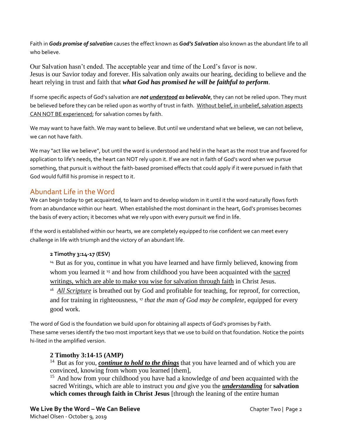Faith in *Gods promise of salvation* causes the effect known as *God's Salvation* also known as the abundant life to all who believe.

Our Salvation hasn't ended. The acceptable year and time of the Lord's favor is now. Jesus is our Savior today and forever. His salvation only awaits our hearing, deciding to believe and the heart relying in trust and faith that *what God has promised he will be faithful to perform*.

If some specific aspects of God's salvation are *not understood as believable*, they can not be relied upon. They must be believed before they can be relied upon as worthy of trust in faith. Without belief, in unbelief, salvation aspects CAN NOT BE experienced; for salvation comes by faith.

We may want to have faith. We may want to believe. But until we understand what we believe, we can not believe, we can not have faith.

We may "act like we believe", but until the word is understood and held in the heart as the most true and favored for application to life's needs, the heart can NOT rely upon it. If we are not in faith of God's word when we pursue something, that pursuit is without the faith-based promised effects that could apply if it were pursued in faith that God would fulfill his promise in respect to it.

# Abundant Life in the Word

We can begin today to get acquainted, to learn and to develop wisdom in it until it the word naturally flows forth from an abundance within our heart. When established the most dominant in the heart, God's promises becomes the basis of every action; it becomes what we rely upon with every pursuit we find in life.

If the word is established within our hearts, we are completely equipped to rise confident we can meet every challenge in life with triumph and the victory of an abundant life.

### **2 Timothy 3:14-17 (ESV)**

<sup>14</sup> But as for you, continue in what you have learned and have firmly believed, knowing from whom you learned it <sup>15</sup> and how from childhood you have been acquainted with the sacred writings, which are able to make you wise for salvation through faith in Christ Jesus.

<sup>16</sup> *All Scripture* is breathed out by God and profitable for teaching, for reproof, for correction, and for training in righteousness, <sup>17</sup> *that the man of God may be complete*, equipped for every good work.

The word of God is the foundation we build upon for obtaining all aspects of God's promises by Faith. These same verses identify the two most important keys that we use to build on that foundation. Notice the points hi-lited in the amplified version.

### **2 Timothy 3:14-15 (AMP)**

<sup>14</sup> But as for you, *continue to hold to the things* that you have learned and of which you are convinced, knowing from whom you learned [them],

<sup>15</sup> And how from your childhood you have had a knowledge of *and* been acquainted with the sacred Writings, which are able to instruct you *and* give you the *understanding* for **salvation which comes through faith in Christ Jesus** [through the leaning of the entire human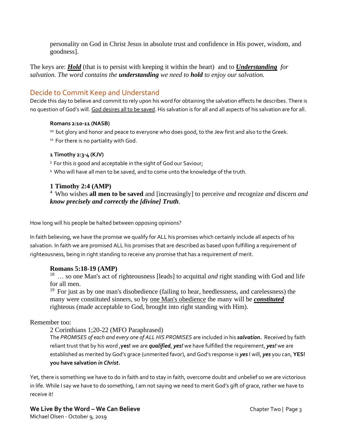personality on God in Christ Jesus in absolute trust and confidence in His power, wisdom, and goodness].

The keys are: *Hold* (that is to persist with keeping it within the heart) and to *Understanding for salvation. The word contains the understanding we need to hold to enjoy our salvation.*

### Decide to Commit Keep and Understand

Decide this day to believe and commit to rely upon his word for obtaining the salvation effects he describes. There is no question of God's will. God desires all to be saved. His salvation is for all and all aspects of his salvation are for all.

#### **Romans 2:10-11 (NASB)**

- <sup>10</sup> but glory and honor and peace to everyone who does good, to the Jew first and also to the Greek.
- <sup>11</sup> For there is no partiality with God.

#### **1 Timothy 2:3-4 (KJV)**

- <sup>3</sup>For this *is* good and acceptable in the sight of God our Saviour;
- <sup>4</sup>Who will have all men to be saved, and to come unto the knowledge of the truth.

### **1 Timothy 2:4 (AMP)**

<sup>4</sup>Who wishes **all men to be saved** and [increasingly] to perceive *and* recognize *and* discern *and know precisely and correctly the [divine] Truth*.

How long will his people be halted between opposing opinions?

In faith believing, we have the promise we qualify for ALL his promises which certainly include all aspects of his salvation. In faith we are promised ALL his promises that are described as based upon fulfilling a requirement of righteousness, being in right standing to receive any promise that has a requirement of merit.

### **Romans 5:18-19 (AMP)**

<sup>18</sup>… so one Man's act of righteousness [leads] to acquittal *and* right standing with God and life for all men.

 $19$  For just as by one man's disobedience (failing to hear, heedlessness, and carelessness) the many were constituted sinners, so by one Man's obedience the many will be *constituted* righteous (made acceptable to God, brought into right standing with Him).

### Remember too:

### 2 Corinthians 1;20-22 (MFO Paraphrased)

The *PROMISES of each and every one of ALL HIS PROMISES* are included in his *salvation.* Received by faith reliant trust that by his word ,**yes!** we are *qualified*, *yes!* we have fulfilled the requirement, *yes!* we are established as merited by God's grace (unmerited favor), and God's response is *yes* I will, *yes* you can, **YES! you have salvation** *in Christ.*

Yet, there is something we have to do in faith and to stay in faith, overcome doubt and unbelief so we are victorious in life. While I say we have to do something, I am not saying we need to merit God's gift of grace, rather we have to receive it!

# **We Live By the Word – We Can Believe** Chapter Two | Page 3

Michael Olsen - October 9, 2019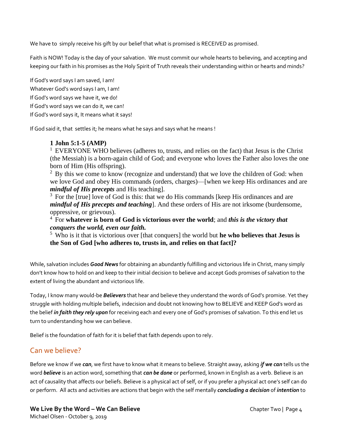We have to simply receive his gift by our belief that what is promised is RECEIVED as promised.

Faith is NOW! Today is the day of your salvation. We must commit our whole hearts to believing, and accepting and keeping our faith in his promises as the Holy Spirit of Truth reveals their understanding within or hearts and minds?

If God's word says I am saved, I am! Whatever God's word says I am, I am! If God's word says we have it, we do! If God's word says we can do it, we can! If God's word says it, It means what it says!

If God said it, that settles it; he means what he says and says what he means !

### **1 John 5:1-5 (AMP)**

 $1$  EVERYONE WHO believes (adheres to, trusts, and relies on the fact) that Jesus is the Christ (the Messiah) is a born-again child of God; and everyone who loves the Father also loves the one born of Him (His offspring).

 $2$  By this we come to know (recognize and understand) that we love the children of God: when we love God and obey His commands (orders, charges)—[when we keep His ordinances and are *mindful of His precepts* and His teaching].

 $3$  For the [true] love of God is this: that we do His commands [keep His ordinances and are *mindful of His precepts and teaching*]. And these orders of His are not irksome (burdensome, oppressive, or grievous).

<sup>4</sup> For whatever is born of God is victorious over the world; and *this is the victory that conquers the world, even our faith.* 

<sup>5</sup>Who is it that is victorious over [that conquers] the world but **he who believes that Jesus is the Son of God [who adheres to, trusts in, and relies on that fact]?**

While, salvation includes *Good News* for obtaining an abundantly fulfilling and victorious life in Christ, many simply don't know how to hold on and keep to their initial decision to believe and accept Gods promises of salvation to the extent of living the abundant and victorious life.

Today, I know many would-be *Believers* that hear and believe they understand the words of God's promise. Yet they struggle with holding multiple beliefs, indecision and doubt not knowing how to BELIEVE and KEEP God's word as the belief *in faith they rely upon* for receiving each and every one of God's promises of salvation. To this end let us turn to understanding how we can believe.

Belief is the foundation of faith for it is belief that faith depends upon to rely.

# Can we believe?

Before we know if we *can*, we first have to know what it means to believe. Straight away, asking *if we can* tells us the word *believe* is an action word, something that *can be done* or performed, known in English as a verb. Believe is an act of causality that affects our beliefs. Believe is a physical act of self, or if you prefer a physical act one's self can do or perform. All acts and activities are actions that begin with the self mentally *concluding a decision* of *intention* to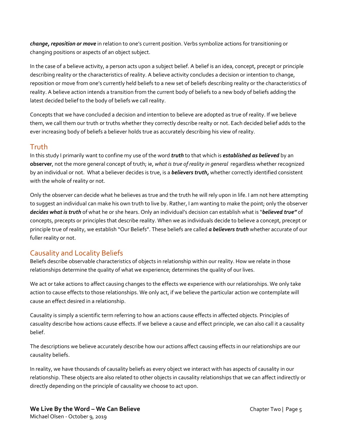*change, reposition or move* in relation to one's current position. Verbs symbolize actions for transitioning or changing positions or aspects of an object subject.

In the case of a believe activity, a person acts upon a subject belief. A belief is an idea, concept, precept or principle describing reality or the characteristics of reality. A believe activity concludes a decision or intention to change, reposition or move from one's currently held beliefs to a new set of beliefs describing reality or the characteristics of reality. A believe action intends a transition from the current body of beliefs to a new body of beliefs adding the latest decided belief to the body of beliefs we call reality.

Concepts that we have concluded a decision and intention to believe are adopted as true of reality. If we believe them, we call them our truth or truths whether they correctly describe realty or not. Each decided belief adds to the ever increasing body of beliefs a believer holds true as accurately describing his view of reality.

### **Truth**

In this study I primarily want to confine my use of the word *truth* to that which is *established as believed* by an **observer**, not the more general concept of truth; ie, *what is true of reality in general* regardless whether recognized by an individual or not. What a believer decides is true, is a *believers truth,* whether correctly identified consistent with the whole of reality or not.

Only the observer can decide what he believes as true and the truth he will rely upon in life. I am not here attempting to suggest an individual can make his own truth to live by. Rather, I am wanting to make the point; only the observer *decides what is truth* of what he or she hears. Only an individual's decision can establish what is "*believed true"* of concepts, precepts or principles that describe reality. When we as individuals decide to believe a concept, precept or principle true of reality, we establish "Our Beliefs". These beliefs are called *a believers truth* whether accurate of our fuller reality or not.

# Causality and Locality Beliefs

Beliefs describe observable characteristics of objects in relationship within our reality. How we relate in those relationships determine the quality of what we experience; determines the quality of our lives.

We act or take actions to affect causing changes to the effects we experience with our relationships. We only take action to cause effects to those relationships. We only act, if we believe the particular action we contemplate will cause an effect desired in a relationship.

Causality is simply a scientific term referring to how an actions cause effects in affected objects. Principles of casuality describe how actions cause effects. If we believe a cause and effect principle, we can also call it a causality belief.

The descriptions we believe accurately describe how our actions affect causing effects in our relationships are our causality beliefs.

In reality, we have thousands of causality beliefs as every object we interact with has aspects of causality in our relationship. These objects are also related to other objects in causality relationships that we can affect indirectly or directly depending on the principle of causality we choose to act upon.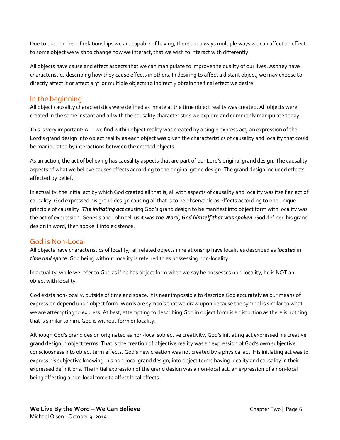Due to the number of relationships we are capable of having, there are always multiple ways we can affect an effect to some object we wish to change how we interact, that we wish to interact with differently.

All objects have cause and effect aspects that we can manipulate to improve the quality of our lives. As they have characteristics describing how they cause effects in others. In desiring to affect a distant object, we may choose to directly affect it or affect a  $3<sup>rd</sup>$  or multiple objects to indirectly obtain the final effect we desire.

### In the beginning

All object causality characteristics were defined as innate at the time object reality was created. All objects were created in the same instant and all with the causality characteristics we explore and commonly manipulate today.

This is very important: ALL we find within object reality was created by a single express act, an expression of the Lord's grand design into object reality as each object was given the characteristics of causality and locality that could be manipulated by interactions between the created objects.

As an action, the act of believing has causality aspects that are part of our Lord's original grand design. The causality aspects of what we believe causes effects according to the original grand design. The grand design included effects affected by belief.

In actuality, the initial act by which God created all that is, all with aspects of causality and locality was itself an act of causality. God expressed his grand design causing all that is to be observable as effects according to one unique principle of causality. *The initiating act* causing God's grand design to be manifest into object form with locality was the act of expression. Genesis and John tell us it was *the Word, God himself that was spoken*. God defined his grand design in word, then spoke it into existence.

### God is Non-Local

All objects have characteristics of locality; all related objects in relationship have localities described as *located* in *time and space*. God being without locality is referred to as possessing non-locality.

In actuality, while we refer to God as if he has object form when we say he possesses non-locality, he is NOT an object with locality.

God exists non-locally; outside of time and space. It is near impossible to describe God accurately as our means of expression depend upon object form. Words are symbols that we draw upon because the symbol is similar to what we are attempting to express. At best, attempting to describing God in object form is a distortion as there is nothing that is similar to him. God is without form or locality.

Although God's grand design originated as non-local subjective creativity, God's initiating act expressed his creative grand design in object terms. That is the creation of objective reality was an expression of God's own subjective consciousness into object term effects. God's new creation was not created by a physical act. His initiating act was to express his subjective knowing, his non-local grand design, into object terms having locality and causality in their expressed definitions. The initial expression of the grand design was a non-local act, an expression of a non-local being affecting a non-local force to affect local effects.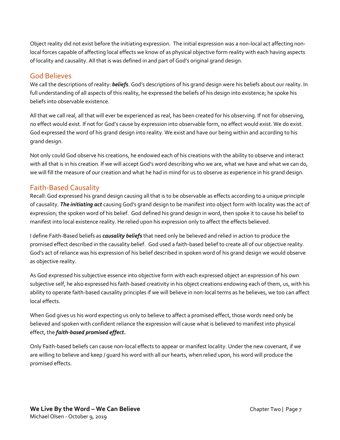Object reality did not exist before the initiating expression. The initial expression was a non-local act affecting nonlocal forces capable of affecting local effects we know of as physical objective form reality with each having aspects of locality and causality. All that is was defined in and part of God's original grand design.

### God Believes

We call the descriptions of reality: *beliefs*. God's descriptions of his grand design were his beliefs about our reality. In full understanding of all aspects of this reality, he expressed the beliefs of his design into existence; he spoke his beliefs into observable existence.

All that we call real, all that will ever be experienced as real, has been created for his observing. If not for observing, no effect would exist. If not for God's cause by expression into observable form, no effect would exist. We do exist. God expressed the word of his grand design into reality. We exist and have our being within and according to his grand design.

Not only could God observe his creations, he endowed each of his creations with the ability to observe and interact with all that is in his creation. If we will accept God's word describing who we are, what we have and what we can do, we will fill the measure of our creation and what he had in mind for us to observe as experience in his grand design.

# Faith-Based Causality

Recall: God expressed his grand design causing all that is to be observable as effects according to a unique principle of causality. *The initiating act* causing God's grand design to be manifest into object form with locality was the act of expression; the spoken word of his belief. God defined his grand design in word, then spoke it to cause his belief to manifest into local existence reality. He relied upon his expression only to affect the effects believed.

I define Faith-Based beliefs as *causality beliefs* that need only be believed and relied in action to produce the promised effect described in the causality belief. God used a faith-based belief to create all of our objective reality. God's act of reliance was his expression of his belief described in spoken word of his grand design we would observe as objective reality.

As God expressed his subjective essence into objective form with each expressed object an expression of his own subjective self, he also expressed his faith-based creativity in his object creations endowing each of them, us, with his ability to operate faith-based causality principles if we will believe in non-local terms as he believes, we too can affect local effects.

When God gives us his word expecting us only to believe to affect a promised effect, those words need only be believed and spoken with confident reliance the expression will cause what is believed to manifest into physical effect, the *faith-based promised effect.*

Only Faith-based beliefs can cause non-local effects to appear or manifest locality. Under the new covenant, if we are willing to believe and keep / guard his word with all our hearts, when relied upon, his word will produce the promised effects.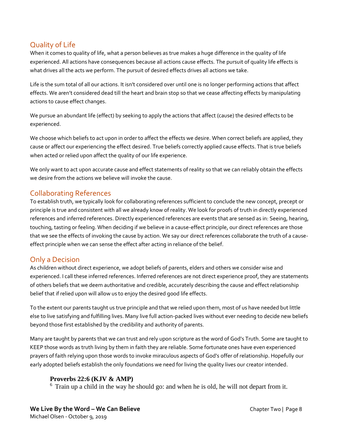# Quality of Life

When it comes to quality of life, what a person believes as true makes a huge difference in the quality of life experienced. All actions have consequences because all actions cause effects. The pursuit of quality life effects is what drives all the acts we perform. The pursuit of desired effects drives all actions we take.

Life is the sum total of all our actions. It isn't considered over until one is no longer performing actions that affect effects. We aren't considered dead till the heart and brain stop so that we cease affecting effects by manipulating actions to cause effect changes.

We pursue an abundant life (effect) by seeking to apply the actions that affect (cause) the desired effects to be experienced.

We choose which beliefs to act upon in order to affect the effects we desire. When correct beliefs are applied, they cause or affect our experiencing the effect desired. True beliefs correctly applied cause effects. That is true beliefs when acted or relied upon affect the quality of our life experience.

We only want to act upon accurate cause and effect statements of reality so that we can reliably obtain the effects we desire from the actions we believe will invoke the cause.

### Collaborating References

To establish truth, we typically look for collaborating references sufficient to conclude the new concept, precept or principle is true and consistent with all we already know of reality. We look for proofs of truth in directly experienced references and inferred references. Directly experienced references are events that are sensed as in: Seeing, hearing, touching, tasting or feeling. When deciding if we believe in a cause-effect principle, our direct references are those that we see the effects of invoking the cause by action. We say our direct references collaborate the truth of a causeeffect principle when we can sense the effect after acting in reliance of the belief.

# Only a Decision

As children without direct experience, we adopt beliefs of parents, elders and others we consider wise and experienced. I call these inferred references. Inferred references are not direct experience proof, they are statements of others beliefs that we deem authoritative and credible, accurately describing the cause and effect relationship belief that if relied upon will allow us to enjoy the desired good life effects.

To the extent our parents taught us true principle and that we relied upon them, most of us have needed but little else to live satisfying and fulfilling lives. Many live full action-packed lives without ever needing to decide new beliefs beyond those first established by the credibility and authority of parents.

Many are taught by parents that we can trust and rely upon scripture as the word of God's Truth. Some are taught to KEEP those words as truth living by them in faith they are reliable. Some fortunate ones have even experienced prayers of faith relying upon those words to invoke miraculous aspects of God's offer of relationship. Hopefully our early adopted beliefs establish the only foundations we need for living the quality lives our creator intended.

### **Proverbs 22:6 (KJV & AMP)**

 $6$  Train up a child in the way he should go: and when he is old, he will not depart from it.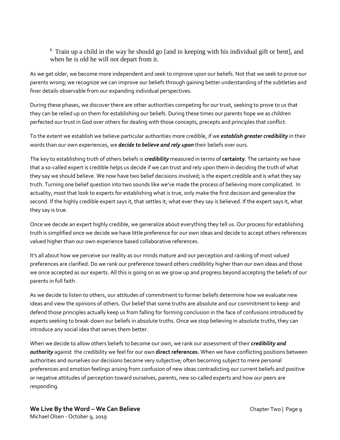$6$  Train up a child in the way he should go [and in keeping with his individual gift or bent], and when he is old he will not depart from it.

As we get older, we become more independent and seek to improve upon our beliefs. Not that we seek to prove our parents wrong; we recognize we can improve our beliefs through gaining better understanding of the subtleties and finer details observable from our expanding individual perspectives.

During these phases, we discover there are other authorities competing for our trust, seeking to prove to us that they can be relied up on them for establishing our beliefs. During these times our parents hope we as children perfected our trust in God over others for dealing with those concepts, precepts and principles that conflict.

To the extent we establish we believe particular authorities more credible, if we *establish greater credibility* in their words than our own experiences, we *decide to believe and rely upon* their beliefs over ours.

The key to establishing truth of others beliefs is *credibility* measured in terms of **certainty**. The certainty we have that a so-called expert is credible helps us decide if we can trust and rely upon them in deciding the truth of what they say we should believe. We now have two belief decisions involved; is the expert credible and is what they say truth. Turning one belief question into two sounds like we've made the process of believing more complicated. In actuality, most that look to experts for establishing what is true, only make the first decision and generalize the second. If the highly credible expert says it, that settles it; what ever they say is believed. If the expert says it, what they say is true.

Once we decide an expert highly credible, we generalize about everything they tell us. Our process for establishing truth is simplified once we decide we have little preference for our own ideas and decide to accept others references valued higher than our own experience based collaborative references.

It's all about how we perceive our reality as our minds mature and our perception and ranking of most valued preferences are clarified. Do we rank our preference toward others credibility higher than our own ideas and those we once accepted as our experts. All this is going on as we grow up and progress beyond accepting the beliefs of our parents in full faith.

As we decide to listen to others, our attitudes of commitment to former beliefs determine how we evaluate new ideas and view the opinions of others. Our belief that some truths are absolute and our commitment to keep and defend those principles actually keep us from falling for forming conclusion in the face of confusions introduced by experts seeking to break-down our beliefs in absolute truths. Once we stop believing in absolute truths, they can introduce any social idea that serves them better.

When we decide to allow others beliefs to become our own, we rank our assessment of their *credibility and authority* against the credibility we feel for our own **direct references.** When we have conflicting positions between authorities and ourselves our decisions become very subjective; often becoming subject to mere personal preferences and emotion feelings arising from confusion of new ideas contradicting our current beliefs and positive or negative attitudes of perception toward ourselves, parents, new so-called experts and how our peers are responding.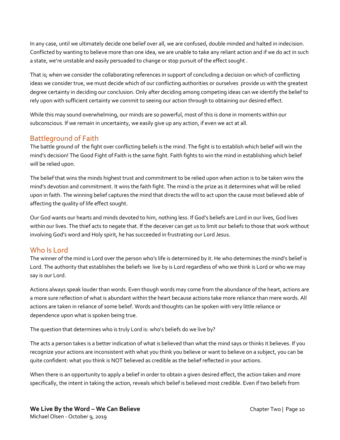In any case, until we ultimately decide one belief over all, we are confused, double minded and halted in indecision. Conflicted by wanting to believe more than one idea, we are unable to take any reliant action and if we do act in such a state, we're unstable and easily persuaded to change or stop pursuit of the effect sought .

That is; when we consider the collaborating references in support of concluding a decision on which of conflicting ideas we consider true, we must decide which of our conflicting authorities or ourselves provide us with the greatest degree certainty in deciding our conclusion. Only after deciding among competing ideas can we identify the belief to rely upon with sufficient certainty we commit to seeing our action through to obtaining our desired effect.

While this may sound overwhelming, our minds are so powerful, most of this is done in moments within our subconscious. If we remain in uncertainty, we easily give up any action, if even we act at all.

### Battleground of Faith

The battle ground of the fight over conflicting beliefs is the mind. The fight is to establish which belief will win the mind's decision! The Good Fight of Faith is the same fight. Faith fights to win the mind in establishing which belief will be relied upon.

The belief that wins the minds highest trust and commitment to be relied upon when action is to be taken wins the mind's devotion and commitment. It wins the faith fight. The mind is the prize as it determines what will be relied upon in faith. The winning belief captures the mind that directs the will to act upon the cause most believed able of affecting the quality of life effect sought.

Our God wants our hearts and minds devoted to him, nothing less. If God's beliefs are Lord in our lives, God lives within our lives. The thief acts to negate that. If the deceiver can get us to limit our beliefs to those that work without involving God's word and Holy spirit, he has succeeded in frustrating our Lord Jesus.

# Who Is Lord

The winner of the mind is Lord over the person who's life is determined by it. He who determines the mind's belief is Lord. The authority that establishes the beliefs we live by is Lord regardless of who we think is Lord or who we may say is our Lord.

Actions always speak louder than words. Even though words may come from the abundance of the heart, actions are a more sure reflection of what is abundant within the heart because actions take more reliance than mere words. All actions are taken in reliance of some belief. Words and thoughts can be spoken with very little reliance or dependence upon what is spoken being true.

The question that determines who is truly Lord is: who's beliefs do we live by?

The acts a person takes is a better indication of what is believed than what the mind says or thinks it believes. If you recognize your actions are inconsistent with what you think you believe or want to believe on a subject, you can be quite confident: what you think is NOT believed as credible as the belief reflected in your actions.

When there is an opportunity to apply a belief in order to obtain a given desired effect, the action taken and more specifically, the intent in taking the action, reveals which belief is believed most credible. Even if two beliefs from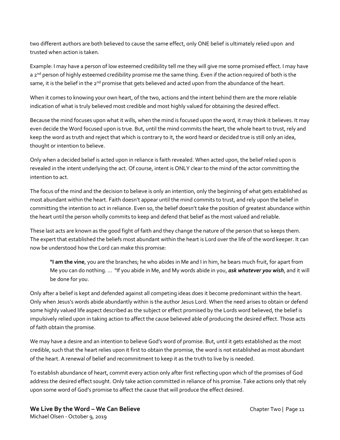two different authors are both believed to cause the same effect, only ONE belief is ultimately relied upon and trusted when action is taken.

Example: I may have a person of low esteemed credibility tell me they will give me some promised effect. I may have a  $2^{nd}$  person of highly esteemed credibility promise me the same thing. Even if the action required of both is the same, it is the belief in the  $2^{nd}$  promise that gets believed and acted upon from the abundance of the heart.

When it comes to knowing your own heart, of the two, actions and the intent behind them are the more reliable indication of what is truly believed most credible and most highly valued for obtaining the desired effect.

Because the mind focuses upon what it wills, when the mind is focused upon the word, it may think it believes. It may even decide the Word focused upon is true. But, until the mind commits the heart, the whole heart to trust, rely and keep the word as truth and reject that which is contrary to it, the word heard or decided true is still only an idea, thought or intention to believe.

Only when a decided belief is acted upon in reliance is faith revealed. When acted upon, the belief relied upon is revealed in the intent underlying the act. Of course, intent is ONLY clear to the mind of the actor committing the intention to act.

The focus of the mind and the decision to believe is only an intention, only the beginning of what gets established as most abundant within the heart. Faith doesn't appear until the mind commits to trust, and rely upon the belief in committing the intention to act in reliance. Even so, the belief doesn't take the position of greatest abundance within the heart until the person wholly commits to keep and defend that belief as the most valued and reliable.

These last acts are known as the good fight of faith and they change the nature of the person that so keeps them. The expert that established the beliefs most abundant within the heart is Lord over the life of the word keeper. It can now be understood how the Lord can make this promise:

**"I am the vine**, you are the branches; he who abides in Me and I in him, he bears much fruit, for apart from Me you can do nothing. … "If you abide in Me, and My words abide in you, *ask whatever you wish*, and it will be done for you.

Only after a belief is kept and defended against all competing ideas does it become predominant within the heart. Only when Jesus's words abide abundantly within is the author Jesus Lord. When the need arises to obtain or defend some highly valued life aspect described as the subject or effect promised by the Lords word believed, the belief is impulsively relied upon in taking action to affect the cause believed able of producing the desired effect. Those acts of faith obtain the promise.

We may have a desire and an intention to believe God's word of promise. But, until it gets established as the most credible, such that the heart relies upon it first to obtain the promise, the word is not established as most abundant of the heart. A renewal of belief and recommitment to keep it as the truth to live by is needed.

To establish abundance of heart, commit every action only after first reflecting upon which of the promises of God address the desired effect sought. Only take action committed in reliance of his promise. Take actions only that rely upon some word of God's promise to affect the cause that will produce the effect desired.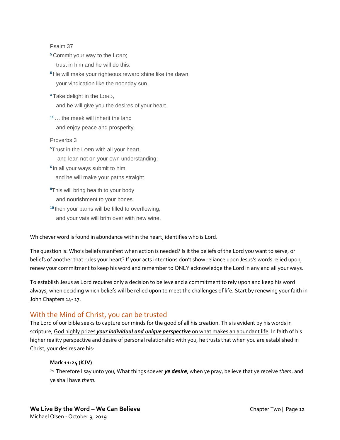#### Psalm 37

**<sup>5</sup>** Commit your way to the LORD;

trust in him and he will do this:

- **<sup>6</sup>** He will make your righteous reward shine like the dawn, your vindication like the noonday sun.
- **<sup>4</sup>** Take delight in the LORD, and he will give you the desires of your heart.
- **<sup>11</sup>** … the meek will inherit the land and enjoy peace and prosperity.

#### Proverbs 3

- **<sup>5</sup>**Trust in the LORD with all your heart and lean not on your own understanding;
- **6** in all your ways submit to him, and he will make your paths straight.
- **<sup>8</sup>**This will bring health to your body and nourishment to your bones.
- **<sup>10</sup>** then your barns will be filled to overflowing, and your vats will brim over with new wine.

Whichever word is found in abundance within the heart, identifies who is Lord.

The question is: Who's beliefs manifest when action is needed? Is it the beliefs of the Lord you want to serve, or beliefs of another that rules your heart? If your acts intentions don't show reliance upon Jesus's words relied upon, renew your commitment to keep his word and remember to ONLY acknowledge the Lord in any and all your ways.

To establish Jesus as Lord requires only a decision to believe and a commitment to rely upon and keep his word always, when deciding which beliefs will be relied upon to meet the challenges of life. Start by renewing your faith in John Chapters 14- 17.

# With the Mind of Christ, you can be trusted

The Lord of our bible seeks to capture our minds for the good of all his creation. This is evident by his words in scripture, God highly prizes *your individual and unique perspective* on what makes an abundant life. In faith of his higher reality perspective and desire of personal relationship with you, he trusts that when you are established in Christ, your desires are his:

#### **Mark 11:24 (KJV)**

<sup>24</sup>Therefore I say unto you, What things soever *ye desire*, when ye pray, believe that ye receive *them*, and ye shall have *them*.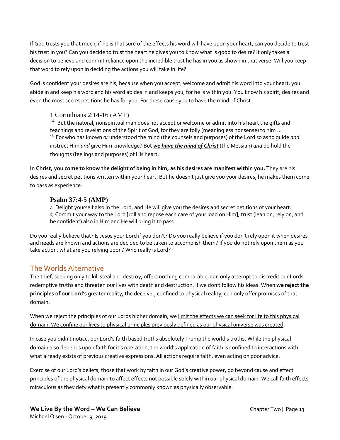If God trusts you that much, if he is that sure of the effects his word will have upon your heart, can you decide to trust his trust in you? Can you decide to trust the heart he gives you to know what is good to desire? It only takes a decision to believe and commit reliance upon the incredible trust he has in you as shown in that verse. Will you keep that word to rely upon in deciding the actions you will take in life?

God is confident your desires are his, because when you accept, welcome and admit his word into your heart, you abide in and keep his word and his word abides in and keeps you, for he is within you. You know his spirit, desires and even the most secret petitions he has for you. For these cause you to have the mind of Christ.

### 1 Corinthians 2:14-16 (AMP)

 $14$  But the natural, nonspiritual man does not accept or welcome or admit into his heart the gifts and teachings and revelations of the Spirit of God, for they are folly (meaningless nonsense) to him … <sup>16</sup> For who has known *or* understood the mind (the counsels and purposes) of the Lord so as to quide *and* instruct Him *and* give Him knowledge? But *we have the mind of Christ* (the Messiah) *and* do hold the thoughts (feelings and purposes) of His heart.

**In Christ, you come to know the delight of being in him, as his desires are manifest within you.** They are his desires and secret petitions written within your heart. But he doesn't just give you your desires, he makes them come to pass as experience:

### **Psalm 37:4-5 (AMP)**

4 Delight yourself also in the Lord, and He will give you the desires and secret petitions of your heart. 5 Commit your way to the Lord [roll and repose each care of your load on Him]; trust (lean on, rely on, and be confident) also in Him and He will bring it to pass.

Do you really believe that? Is Jesus your Lord if you don't? Do you really believe if you don't rely upon it when desires and needs are known and actions are decided to be taken to accomplish them? If you do not rely upon them as you take action, what are you relying upon? Who really is Lord?

# The Worlds Alternative

The thief, seeking only to kill steal and destroy, offers nothing comparable, can only attempt to discredit our Lords redemptive truths and threaten our lives with death and destruction, if we don't follow his ideas. When **we reject the principles of our Lord's** greater reality, the deceiver, confined to physical reality, can only offer promises of that domain.

When we reject the principles of our Lords higher domain, we limit the effects we can seek for life to this physical domain. We confine our lives to physical principles previously defined as our physical universe was created.

In case you didn't notice, our Lord's faith based truths absolutely Trump the world's truths. While the physical domain also depends upon faith for it's operation, the world's application of faith is confined to interactions with what already exists of previous creative expressions. All actions require faith, even acting on poor advice.

Exercise of our Lord's beliefs, those that work by faith in our God's creative power, go beyond cause and effect principles of the physical domain to affect effects not possible solely within our physical domain. We call faith effects miraculous as they defy what is presently commonly known as physically observable.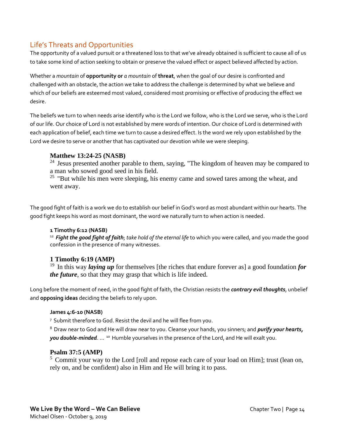# Life's Threats and Opportunities

The opportunity of a valued pursuit or a threatened loss to that we've already obtained is sufficient to cause all of us to take some kind of action seeking to obtain or preserve the valued effect or aspect believed affected by action.

Whether a *mountain* of **opportunity or** *a mountain* of **threat**, when the goal of our desire is confronted and challenged with an obstacle, the action we take to address the challenge is determined by what we believe and which of our beliefs are esteemed most valued, considered most promising or effective of producing the effect we desire.

The beliefs we turn to when needs arise identify who is the Lord we follow, who is the Lord we serve, who is the Lord of our life. Our choice of Lord is not established by mere words of intention. Our choice of Lord is determined with each application of belief, each time we turn to cause a desired effect. Is the word we rely upon established by the Lord we desire to serve or another that has captivated our devotion while we were sleeping.

### **Matthew 13:24-25 (NASB)**

 $24$  Jesus presented another parable to them, saying, "The kingdom of heaven may be compared to a man who sowed good seed in his field.

 $25$  "But while his men were sleeping, his enemy came and sowed tares among the wheat, and went away.

The good fight of faith is a work we do to establish our belief in God's word as most abundant within our hearts. The good fight keeps his word as most dominant, the word we naturally turn to when action is needed.

### **1 Timothy 6:12 (NASB)**

<sup>12</sup> Fight the good fight of faith; *take hold of the eternal life* to which you were called, and you made the good confession in the presence of many witnesses.

### **1 Timothy 6:19 (AMP)**

<sup>19</sup> In this way *laying up* for themselves [the riches that endure forever as] a good foundation *for the future*, so that they may grasp that which is life indeed.

Long before the moment of need, in the good fight of faith, the Christian resists the *contrary evil thoughts*, unbelief and **opposing ideas** deciding the beliefs to rely upon.

#### **James 4:6-10 (NASB)**

<sup>7</sup> Submit therefore to God. Resist the devil and he will flee from you.

8 Draw near to God and He will draw near to you. Cleanse your hands, you sinners; and *purify your hearts*, **you double-minded**. ... <sup>10</sup> Humble yourselves in the presence of the Lord, and He will exalt you.

### **Psalm 37:5 (AMP)**

 $5$  Commit your way to the Lord [roll and repose each care of your load on Him]; trust (lean on, rely on, and be confident) also in Him and He will bring it to pass.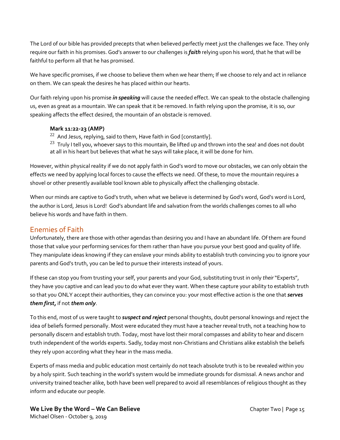The Lord of our bible has provided precepts that when believed perfectly meet just the challenges we face. They only require our faith in his promises. God's answer to our challenges is *faith* relying upon his word, that he that will be faithful to perform all that he has promised.

We have specific promises, if we choose to believe them when we hear them; If we choose to rely and act in reliance on them. We can speak the desires he has placed within our hearts.

Our faith relying upon his promise *in speaking* will cause the needed effect. We can speak to the obstacle challenging us, even as great as a mountain. We can speak that it be removed. In faith relying upon the promise, it is so, our speaking affects the effect desired, the mountain of an obstacle is removed.

### **Mark 11:22-23 (AMP)**

- $22$  And Jesus, replying, said to them, Have faith in God [constantly].
- $23$  Truly I tell you, whoever says to this mountain, Be lifted up and thrown into the sea! and does not doubt at all in his heart but believes that what he says will take place, it will be done for him.

However, within physical reality if we do not apply faith in God's word to move our obstacles, we can only obtain the effects we need by applying local forces to cause the effects we need. Of these, to move the mountain requires a shovel or other presently available tool known able to physically affect the challenging obstacle.

When our minds are captive to God's truth, when what we believe is determined by God's word, God's word is Lord, the author is Lord, Jesus is Lord! God's abundant life and salvation from the worlds challenges comes to all who believe his words and have faith in them.

### Enemies of Faith

Unfortunately, there are those with other agendas than desiring you and I have an abundant life. Of them are found those that value your performing services for them rather than have you pursue your best good and quality of life. They manipulate ideas knowing if they can enslave your minds ability to establish truth convincing you to ignore your parents and God's truth, you can be led to pursue their interests instead of yours.

If these can stop you from trusting your self, your parents and your God, substituting trust in only *their* "Experts", they have you captive and can lead you to do what ever they want. When these capture your ability to establish truth so that you ONLY accept their authorities, they can convince you: your most effective action is the one that *serves them first,* if not *them only*.

To this end, most of us were taught to *suspect and reject* personal thoughts, doubt personal knowings and reject the idea of beliefs formed personally. Most were educated they must have a teacher reveal truth, not a teaching how to personally discern and establish truth. Today, most have lost their moral compasses and ability to hear and discern truth independent of the worlds experts. Sadly, today most non-Christians and Christians alike establish the beliefs they rely upon according what they hear in the mass media.

Experts of mass media and public education most certainly do not teach absolute truth is to be revealed within you by a holy spirit. Such teaching in the world's system would be immediate grounds for dismissal. A news anchor and university trained teacher alike, both have been well prepared to avoid all resemblances of religious thought as they inform and educate our people.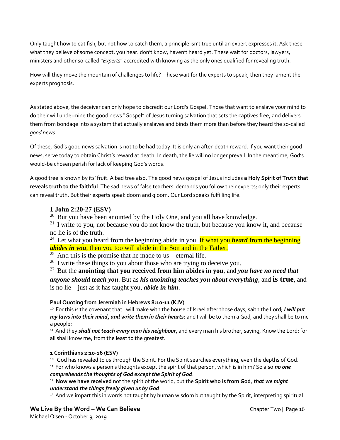Only taught how to eat fish, but not how to catch them, a principle isn't true until an expert expresses it. Ask these what they believe of some concept, you hear: don't know; haven't heard yet. These wait for doctors, lawyers, ministers and other so-called "*Experts*" accredited with knowing as the only ones qualified for revealing truth.

How will they move the mountain of challenges to life? These wait for the experts to speak, then they lament the experts prognosis.

As stated above, the deceiver can only hope to discredit our Lord's Gospel. Those that want to enslave your mind to do their will undermine the good news "Gospel" of Jesus turning salvation that sets the captives free, and delivers them from bondage into a system that actually enslaves and binds them more than before they heard the so-called *good news*.

Of these, God's good news salvation is not to be had today. It is only an after-death reward. If you want their good news, serve today to obtain Christ's reward at death. In death, the lie will no longer prevail. In the meantime, God's would-be chosen perish for lack of keeping God's words.

A good tree is known by its' fruit. A bad tree also. The good news gospel of Jesus includes **a Holy Spirit of Truth that reveals truth to the faithful**. The sad news of false teachers demands you follow their experts; only their experts can reveal truth. But their experts speak doom and gloom. Our Lord speaks fulfilling life.

### **1 John 2:20-27 (ESV)**

 $20$  But you have been anointed by the Holy One, and you all have knowledge.

 $21$  I write to you, not because you do not know the truth, but because you know it, and because no lie is of the truth.

<sup>24</sup> Let what you heard from the beginning abide in you. If what you *heard* from the beginning *abides in you*, then you too will abide in the Son and in the Father.

 $25$  And this is the promise that he made to us—eternal life.

 $26$  I write these things to you about those who are trying to deceive you.

<sup>27</sup> But the **anointing that you received from him abides in you**, and *you have no need that anyone should teach you*. But as *his anointing teaches you about everything*, and **is true**, and is no lie—just as it has taught you, *abide in him*.

### **Paul Quoting from Jeremiah in Hebrews 8:10-11 (KJV)**

<sup>10</sup>For this *is*the covenant that I will make with the house of Israel after those days, saith the Lord; *I will put my laws into their mind, and write them in their hearts:* and I will be to them a God, and they shall be to me a people:

<sup>11</sup> And they **shall not teach every man his neighbour**, and every man his brother, saying, Know the Lord: for all shall know me, from the least to the greatest.

### **1 Corinthians 2:10-16 (ESV)**

<sup>10</sup> God has revealed to us through the Spirit. For the Spirit searches everything, even the depths of God.

<sup>11</sup> For who knows a person's thoughts except the spirit of that person, which is in him? So also no one *comprehends the thoughts of God except the Spirit of God*.

<sup>12</sup>**Now we have received** not the spirit of the world, but the **Spirit who is from God**, *that we might understand the things freely given us by God*.

<sup>13</sup> And we impart this in words not taught by human wisdom but taught by the Spirit, interpreting spiritual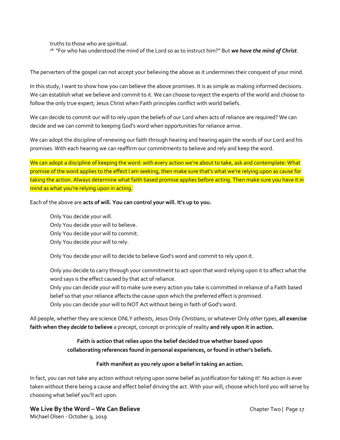truths to those who are spiritual.

<sup>16</sup> "For who has understood the mind of the Lord so as to instruct him?" But we have the mind of Christ.

The perverters of the gospel can not accept your believing the above as it undermines their conquest of your mind.

In this study, I want to show how you can believe the above promises. It is as simple as making informed decisions. We can establish what we believe and commit to it. We can choose to reject the experts of the world and choose to follow the only true expert; Jesus Christ when Faith principles conflict with world beliefs.

We can decide to commit our will to rely upon the beliefs of our Lord when acts of reliance are required? We can decide and we can commit to keeping God's word when opportunities for reliance arrive.

We can adopt the discipline of renewing our faith through hearing and hearing again the words of our Lord and his promises. With each hearing we can reaffirm our commitments to believe and rely and keep the word.

We can adopt a discipline of keeping the word: with every action we're about to take, ask and contemplate: What promise of the word applies to the effect I am seeking, then make sure that's what we're relying upon as cause for taking the action. Always determine what faith based promise applies before acting. Then make sure you have it in mind as what you're relying upon in acting.

Each of the above are **acts of will. You can control your will. It's up to you.**

Only You decide your will.

Only You decide your will to believe.

Only You decide your will to commit.

Only You decide your will to rely.

Only You decide your will to decide to believe God's word and commit to rely upon it.

Only you decide to carry through your commitment to act upon that word relying upon it to affect what the word says is the effect caused by that act of reliance.

Only you can decide your will to make sure every action you take is committed in reliance of a Faith based belief so that your reliance affects the cause upon which the preferred effect is promised. Only you can decide your will to NOT Act without being in faith of God's word.

All people, whether they are science ONLY *atheists*, Jesus Only *Christians*, or whatever Only *other types*, **all exercise faith when they** *decide* **to believe** a precept, concept or principle of reality **and rely upon it in action.**

### **Faith is action that relies upon the belief decided true whether based upon collaborating references found in personal experiences, or found in other's beliefs.**

### **Faith manifest as you rely upon a belief in taking an action.**

In fact, you can not take any action without relying upon some belief as justification for taking it! No action is ever taken without there being a cause and effect belief driving the act. With your will, choose which lord you will serve by choosing what belief you'll act upon.

**We Live By the Word – We Can Believe** Chapter Two | Page 17 Michael Olsen - October 9, 2019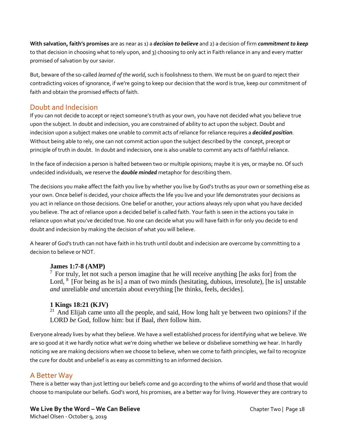**With salvation, faith's promises** are as near as 1) a *decision to believe* and 2) a decision of firm *commitment to keep* to that decision in choosing what to rely upon, and 3) choosing to only act in Faith reliance in any and every matter promised of salvation by our savior.

But, beware of the so-called *learned of the world*, such is foolishness to them. We must be on guard to reject their contradicting voices of ignorance, if we're going to keep our decision that the word is true, keep our commitment of faith and obtain the promised effects of faith.

# Doubt and Indecision

If you can not decide to accept or reject someone's truth as your own, you have not decided what you believe true upon the subject. In doubt and indecision, you are constrained of ability to act upon the subject. Doubt and indecision upon a subject makes one unable to commit acts of reliance for reliance requires a *decided position*. Without being able to rely, one can not commit action upon the subject described by the concept, precept or principle of truth in doubt. In doubt and indecision, one is also unable to commit any acts of faithful reliance.

In the face of indecision a person is halted between two or multiple opinions; maybe it is yes, or maybe no. Of such undecided individuals, we reserve the *double minded* metaphor for describing them.

The decisions you make affect the faith you live by whether you live by God's truths as your own or something else as your own. Once belief is decided, your choice affects the life you live and your life demonstrates your decisions as you act in reliance on those decisions. One belief or another, your actions always rely upon what you have decided you believe. The act of reliance upon a decided belief is called faith. Your faith is seen in the actions you take in reliance upon what you've decided true. No one can decide what you will have faith in for only you decide to end doubt and indecision by making the decision of what you will believe.

A hearer of God's truth can not have faith in his truth until doubt and indecision are overcome by committing to a decision to believe or NOT.

### **James 1:7-8 (AMP)**

 $<sup>7</sup>$  For truly, let not such a person imagine that he will receive anything [he asks for] from the</sup> Lord,  $8$  [For being as he is] a man of two minds (hesitating, dubious, irresolute), [he is] unstable *and* unreliable *and* uncertain about everything [he thinks, feels, decides].

### **1 Kings 18:21 (KJV)**

 $21$  And Elijah came unto all the people, and said, How long halt ye between two opinions? if the LORD *be* God, follow him: but if Baal, *then* follow him.

Everyone already lives by what they believe. We have a well established process for identifying what we believe. We are so good at it we hardly notice what we're doing whether we believe or disbelieve something we hear. In hardly noticing we are making decisions when we choose to believe, when we come to faith principles, we fail to recognize the cure for doubt and unbelief is as easy as committing to an informed decision.

### A Better Way

There is a better way than just letting our beliefs come and go according to the whims of world and those that would choose to manipulate our beliefs. God's word, his promises, are a better way for living. However they are contrary to